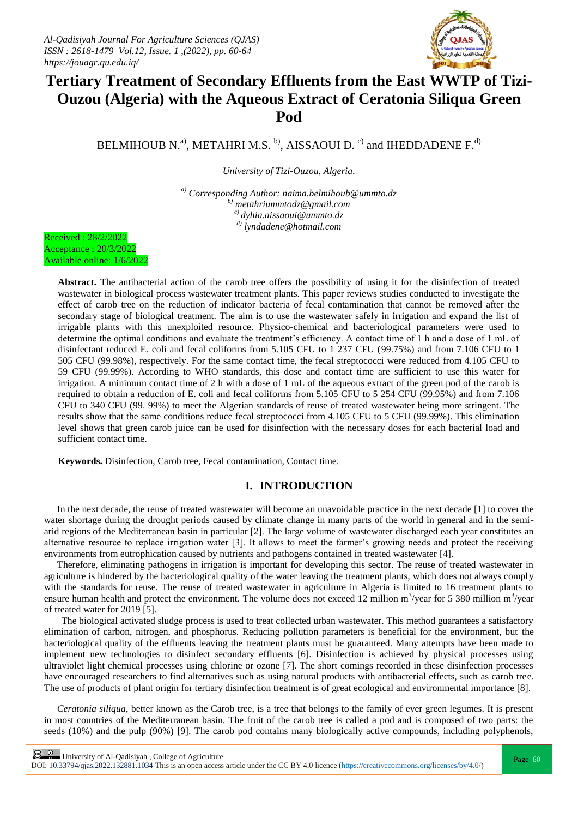

# **Tertiary Treatment of Secondary Effluents from the East WWTP of Tizi-Ouzou (Algeria) with the Aqueous Extract of Ceratonia Siliqua Green Pod**

BELMIHOUB N.<sup>a)</sup>, METAHRI M.S. <sup>b)</sup>, AISSAOUI D.<sup>c)</sup> and IHEDDADENE F.<sup>d)</sup>

*University of Tizi-Ouzou, Algeria.*

*a) Corresponding Author: naima.belmihoub@ummto.dz b) metahriummtodz@gmail.com c) [dyhia.aissaoui@ummto.dz](mailto:dyhia.aissaoui@ummto.dz) d) lyndadene@hotmail.com*



**Abstract.** The antibacterial action of the carob tree offers the possibility of using it for the disinfection of treated wastewater in biological process wastewater treatment plants. This paper reviews studies conducted to investigate the effect of carob tree on the reduction of indicator bacteria of fecal contamination that cannot be removed after the secondary stage of biological treatment. The aim is to use the wastewater safely in irrigation and expand the list of irrigable plants with this unexploited resource. Physico-chemical and bacteriological parameters were used to determine the optimal conditions and evaluate the treatment's efficiency. A contact time of 1 h and a dose of 1 mL of disinfectant reduced E. coli and fecal coliforms from 5.105 CFU to 1 237 CFU (99.75%) and from 7.106 CFU to 1 505 CFU (99.98%), respectively. For the same contact time, the fecal streptococci were reduced from 4.105 CFU to 59 CFU (99.99%). According to WHO standards, this dose and contact time are sufficient to use this water for irrigation. A minimum contact time of 2 h with a dose of 1 mL of the aqueous extract of the green pod of the carob is required to obtain a reduction of E. coli and fecal coliforms from 5.105 CFU to 5 254 CFU (99.95%) and from 7.106 CFU to 340 CFU (99. 99%) to meet the Algerian standards of reuse of treated wastewater being more stringent. The results show that the same conditions reduce fecal streptococci from 4.105 CFU to 5 CFU (99.99%). This elimination level shows that green carob juice can be used for disinfection with the necessary doses for each bacterial load and sufficient contact time.

**Keywords.** Disinfection, Carob tree, Fecal contamination, Contact time.

# **I. INTRODUCTION**

In the next decade, the reuse of treated wastewater will become an unavoidable practice in the next decade [1] to cover the water shortage during the drought periods caused by climate change in many parts of the world in general and in the semiarid regions of the Mediterranean basin in particular [2]. The large volume of wastewater discharged each year constitutes an alternative resource to replace irrigation water [3]. It allows to meet the farmer's growing needs and protect the receiving environments from eutrophication caused by nutrients and pathogens contained in treated wastewater [4].

Therefore, eliminating pathogens in irrigation is important for developing this sector. The reuse of treated wastewater in agriculture is hindered by the bacteriological quality of the water leaving the treatment plants, which does not always comply with the standards for reuse. The reuse of treated wastewater in agriculture in Algeria is limited to 16 treatment plants to ensure human health and protect the environment. The volume does not exceed 12 million  $m^3$ /year for 5 380 million  $m^3$ /year of treated water for 2019 [5].

The biological activated sludge process is used to treat collected urban wastewater. This method guarantees a satisfactory elimination of carbon, nitrogen, and phosphorus. Reducing pollution parameters is beneficial for the environment, but the bacteriological quality of the effluents leaving the treatment plants must be guaranteed. Many attempts have been made to implement new technologies to disinfect secondary effluents [6]. Disinfection is achieved by physical processes using ultraviolet light chemical processes using chlorine or ozone [7]. The short comings recorded in these disinfection processes have encouraged researchers to find alternatives such as using natural products with antibacterial effects, such as carob tree. The use of products of plant origin for tertiary disinfection treatment is of great ecological and environmental importance [8].

*Ceratonia siliqua*, better known as the Carob tree, is a tree that belongs to the family of ever green legumes. It is present in most countries of the Mediterranean basin. The fruit of the carob tree is called a pod and is composed of two parts: the seeds (10%) and the pulp (90%) [9]. The carob pod contains many biologically active compounds, including polyphenols,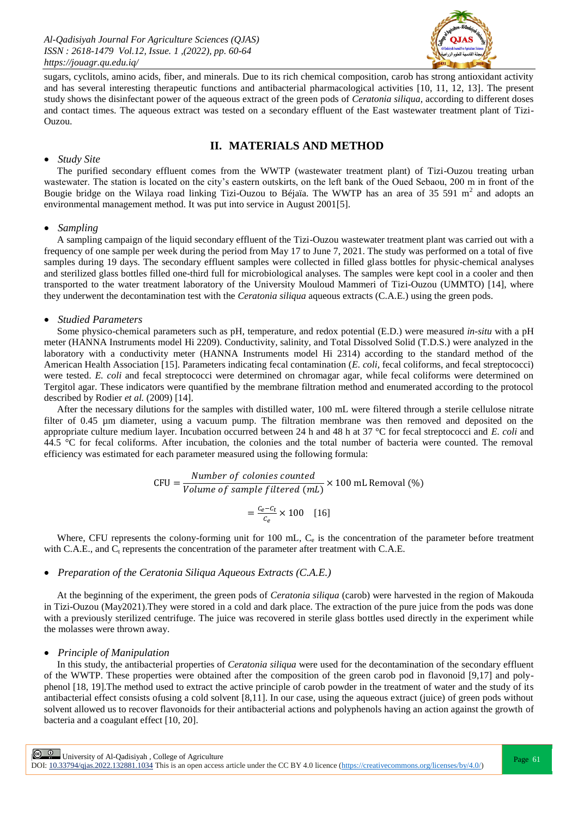*Al-Qadisiyah Journal For Agriculture Sciences (QJAS) ISSN : 2618-1479 Vol.12, Issue. 1 ,(2022), pp. 60-64 https://jouagr.qu.edu.iq/*



sugars, cyclitols, amino acids, fiber, and minerals. Due to its rich chemical composition, carob has strong antioxidant activity and has several interesting therapeutic functions and antibacterial pharmacological activities [10, 11, 12, 13]. The present study shows the disinfectant power of the aqueous extract of the green pods of *Ceratonia siliqua,* according to different doses and contact times. The aqueous extract was tested on a secondary effluent of the East wastewater treatment plant of Tizi-Ouzou.

## **II. MATERIALS AND METHOD**

#### *Study Site*

The purified secondary effluent comes from the WWTP (wastewater treatment plant) of Tizi-Ouzou treating urban wastewater. The station is located on the city's eastern outskirts, on the left bank of the Oued Sebaou, 200 m in front of the Bougie bridge on the Wilaya road linking Tizi-Ouzou to Béjaïa. The WWTP has an area of 35 591 m<sup>2</sup> and adopts an environmental management method. It was put into service in August 2001[5].

#### *Sampling*

A sampling campaign of the liquid secondary effluent of the Tizi-Ouzou wastewater treatment plant was carried out with a frequency of one sample per week during the period from May 17 to June 7, 2021. The study was performed on a total of five samples during 19 days. The secondary effluent samples were collected in filled glass bottles for physic-chemical analyses and sterilized glass bottles filled one-third full for microbiological analyses. The samples were kept cool in a cooler and then transported to the water treatment laboratory of the University Mouloud Mammeri of Tizi-Ouzou (UMMTO) [14], where they underwent the decontamination test with the *Ceratonia siliqua* aqueous extracts (C.A.E.) using the green pods.

#### *Studied Parameters*

Some physico-chemical parameters such as pH, temperature, and redox potential (E.D.) were measured *in-situ* with a pH meter (HANNA Instruments model Hi 2209). Conductivity, salinity, and Total Dissolved Solid (T.D.S.) were analyzed in the laboratory with a conductivity meter (HANNA Instruments model Hi 2314) according to the standard method of the American Health Association [15]. Parameters indicating fecal contamination (*E. coli,* fecal coliforms, and fecal streptococci) were tested. *E. coli* and fecal streptococci were determined on chromagar agar, while fecal coliforms were determined on Tergitol agar. These indicators were quantified by the membrane filtration method and enumerated according to the protocol described by Rodier *et al.* (2009) [14].

After the necessary dilutions for the samples with distilled water, 100 mL were filtered through a sterile cellulose nitrate filter of 0.45 µm diameter, using a vacuum pump. The filtration membrane was then removed and deposited on the appropriate culture medium layer. Incubation occurred between 24 h and 48 h at 37 °C for fecal streptococci and *E. coli* and 44.5 °C for fecal coliforms. After incubation, the colonies and the total number of bacteria were counted. The removal efficiency was estimated for each parameter measured using the following formula:

CFU = 
$$
\frac{Number\ of\ colonies\ counted}{Volume\ of\ sample\ filtered\ (mL)} \times 100\ \text{mL\ Removal\ }(\%)
$$

$$
= \frac{c_e - c_t}{c_e} \times 100\ \ [16]
$$

Where, CFU represents the colony-forming unit for 100 mL,  $C_e$  is the concentration of the parameter before treatment with C.A.E., and  $C_t$  represents the concentration of the parameter after treatment with C.A.E.

#### *Preparation of the Ceratonia Siliqua Aqueous Extracts (C.A.E.)*

At the beginning of the experiment, the green pods of *Ceratonia siliqua* (carob) were harvested in the region of Makouda in Tizi-Ouzou (May2021).They were stored in a cold and dark place. The extraction of the pure juice from the pods was done with a previously sterilized centrifuge. The juice was recovered in sterile glass bottles used directly in the experiment while the molasses were thrown away.

#### *Principle of Manipulation*

In this study, the antibacterial properties of *Ceratonia siliqua* were used for the decontamination of the secondary effluent of the WWTP. These properties were obtained after the composition of the green carob pod in flavonoid [9,17] and polyphenol [18, 19].The method used to extract the active principle of carob powder in the treatment of water and the study of its antibacterial effect consists ofusing a cold solvent [8,11]. In our case, using the aqueous extract (juice) of green pods without solvent allowed us to recover flavonoids for their antibacterial actions and polyphenols having an action against the growth of bacteria and a coagulant effect [10, 20].

**Page 61**<br>Page 61 | University of Al-Qadisiyah , College of Agriculture<br>
Page 61

DOI:  $10.33794/q$ jas.2022.132881.1034 This is an open access article under the CC BY 4.0 licence (https://creativecommons.org/licenses/by/4.0/)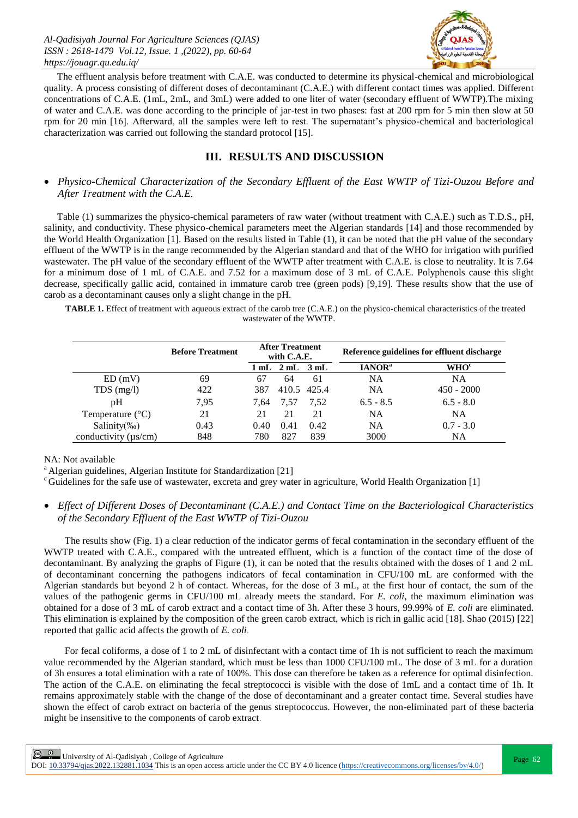

The effluent analysis before treatment with C.A.E. was conducted to determine its physical-chemical and microbiological quality. A process consisting of different doses of decontaminant (C.A.E.) with different contact times was applied. Different concentrations of C.A.E. (1mL, 2mL, and 3mL) were added to one liter of water (secondary effluent of WWTP).The mixing of water and C.A.E. was done according to the principle of jar-test in two phases: fast at 200 rpm for 5 min then slow at 50 rpm for 20 min [16]. Afterward, all the samples were left to rest. The supernatant's physico-chemical and bacteriological characterization was carried out following the standard protocol [15].

# **III. RESULTS AND DISCUSSION**

 *Physico-Chemical Characterization of the Secondary Effluent of the East WWTP of Tizi-Ouzou Before and After Treatment with the C.A.E.*

Table (1) summarizes the physico-chemical parameters of raw water (without treatment with C.A.E.) such as T.D.S., pH, salinity, and conductivity. These physico-chemical parameters meet the Algerian standards [14] and those recommended by the World Health Organization [1]. Based on the results listed in Table (1), it can be noted that the pH value of the secondary effluent of the WWTP is in the range recommended by the Algerian standard and that of the WHO for irrigation with purified wastewater. The pH value of the secondary effluent of the WWTP after treatment with C.A.E. is close to neutrality. It is 7.64 for a minimum dose of 1 mL of C.A.E. and 7.52 for a maximum dose of 3 mL of C.A.E. Polyphenols cause this slight decrease, specifically gallic acid, contained in immature carob tree (green pods) [9,19]. These results show that the use of carob as a decontaminant causes only a slight change in the pH.

**TABLE 1.** Effect of treatment with aqueous extract of the carob tree (C.A.E.) on the physico-chemical characteristics of the treated wastewater of the WWTP.

|                           | <b>Before Treatment</b> | <b>After Treatment</b><br>with C.A.E. |                                              |             | Reference guidelines for effluent discharge |                         |
|---------------------------|-------------------------|---------------------------------------|----------------------------------------------|-------------|---------------------------------------------|-------------------------|
|                           |                         |                                       | $1 \text{ mL}$ $2 \text{ mL}$ $3 \text{ mL}$ |             | <b>IANOR</b> <sup>a</sup>                   | <b>WHO</b> <sup>c</sup> |
| ED(mV)                    | 69                      | 67                                    | 64                                           | 61          | NA                                          | NA                      |
| $TDS$ (mg/l)              | 422                     | 387                                   |                                              | 410.5 425.4 | NA                                          | $450 - 2000$            |
| pH                        | 7.95                    | 7.64                                  | 7.57                                         | 7.52        | $6.5 - 8.5$                                 | $6.5 - 8.0$             |
| Temperature $(^{\circ}C)$ | 21                      | 21                                    | 21                                           | 21          | <b>NA</b>                                   | <b>NA</b>               |
| Salinity $(\%_0)$         | 0.43                    | 0.40                                  | 0.41                                         | 0.42        | <b>NA</b>                                   | $0.7 - 3.0$             |
| conductivity $(\mu s/cm)$ | 848                     | 780                                   | 827                                          | 839         | 3000                                        | NA                      |

NA: Not available

<sup>a</sup> Algerian guidelines, Algerian Institute for Standardization [21]

 $c<sup>c</sup>$  Guidelines for the safe use of wastewater, excreta and grey water in agriculture, World Health Organization [1]

# *Effect of Different Doses of Decontaminant (C.A.E.) and Contact Time on the Bacteriological Characteristics of the Secondary Effluent of the East WWTP of Tizi-Ouzou*

The results show (Fig. 1) a clear reduction of the indicator germs of fecal contamination in the secondary effluent of the WWTP treated with C.A.E., compared with the untreated effluent, which is a function of the contact time of the dose of decontaminant. By analyzing the graphs of Figure (1), it can be noted that the results obtained with the doses of 1 and 2 mL of decontaminant concerning the pathogens indicators of fecal contamination in CFU/100 mL are conformed with the Algerian standards but beyond 2 h of contact. Whereas, for the dose of 3 mL, at the first hour of contact, the sum of the values of the pathogenic germs in CFU/100 mL already meets the standard. For *E. coli*, the maximum elimination was obtained for a dose of 3 mL of carob extract and a contact time of 3h. After these 3 hours, 99.99% of *E. coli* are eliminated. This elimination is explained by the composition of the green carob extract, which is rich in gallic acid [18]. Shao (2015) [22] reported that gallic acid affects the growth of *E. coli*.

For fecal coliforms, a dose of 1 to 2 mL of disinfectant with a contact time of 1h is not sufficient to reach the maximum value recommended by the Algerian standard, which must be less than 1000 CFU/100 mL. The dose of 3 mL for a duration of 3h ensures a total elimination with a rate of 100%. This dose can therefore be taken as a reference for optimal disinfection. The action of the C.A.E. on eliminating the fecal streptococci is visible with the dose of 1mL and a contact time of 1h. It remains approximately stable with the change of the dose of decontaminant and a greater contact time. Several studies have shown the effect of carob extract on bacteria of the genus streptococcus. However, the non-eliminated part of these bacteria might be insensitive to the components of carob extract.

 $\frac{Q}{P}$  University of Al-Qadisiyah, College of Agriculture

DOI:  $10.33794/q$ jas.2022.132881.1034 This is an open access article under the CC BY 4.0 licence (https://creativecommons.org/licenses/by/4.0/)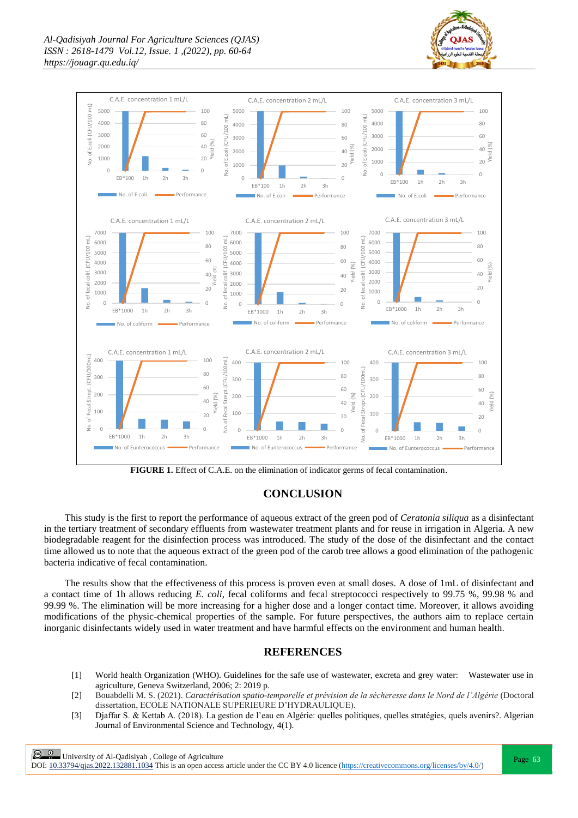





## **CONCLUSION**

This study is the first to report the performance of aqueous extract of the green pod of *Ceratonia siliqua* as a disinfectant in the tertiary treatment of secondary effluents from wastewater treatment plants and for reuse in irrigation in Algeria. A new biodegradable reagent for the disinfection process was introduced. The study of the dose of the disinfectant and the contact time allowed us to note that the aqueous extract of the green pod of the carob tree allows a good elimination of the pathogenic bacteria indicative of fecal contamination.

The results show that the effectiveness of this process is proven even at small doses. A dose of 1mL of disinfectant and a contact time of 1h allows reducing *E. coli*, fecal coliforms and fecal streptococci respectively to 99.75 %, 99.98 % and 99.99 %. The elimination will be more increasing for a higher dose and a longer contact time. Moreover, it allows avoiding modifications of the physic-chemical properties of the sample. For future perspectives, the authors aim to replace certain inorganic disinfectants widely used in water treatment and have harmful effects on the environment and human health.

## **REFERENCES**

- [1] World health Organization (WHO). Guidelines for the safe use of wastewater, excreta and grey water: Wastewater use in agriculture, Geneva Switzerland, 2006; 2: 2019 p.
- [2] Bouabdelli M. S. (2021). *Caractérisation spatio-temporelle et prévision de la sécheresse dans le Nord de l'Algérie* (Doctoral dissertation, ECOLE NATIONALE SUPERIEURE D'HYDRAULIQUE).
- [3] Djaffar S. & Kettab A. (2018). La gestion de l'eau en Algérie: quelles politiques, quelles stratégies, quels avenirs?. Algerian Journal of Environmental Science and Technology, 4(1).

**Page 63**<br>Page 63

DOI:  $10.33794/q$ jas.2022.132881.1034 This is an open access article under the CC BY 4.0 licence (https://creativecommons.org/licenses/by/4.0/)